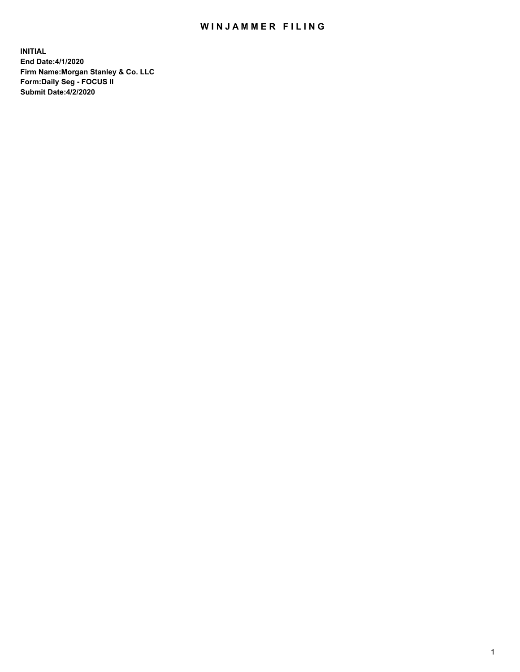## WIN JAMMER FILING

**INITIAL End Date:4/1/2020 Firm Name:Morgan Stanley & Co. LLC Form:Daily Seg - FOCUS II Submit Date:4/2/2020**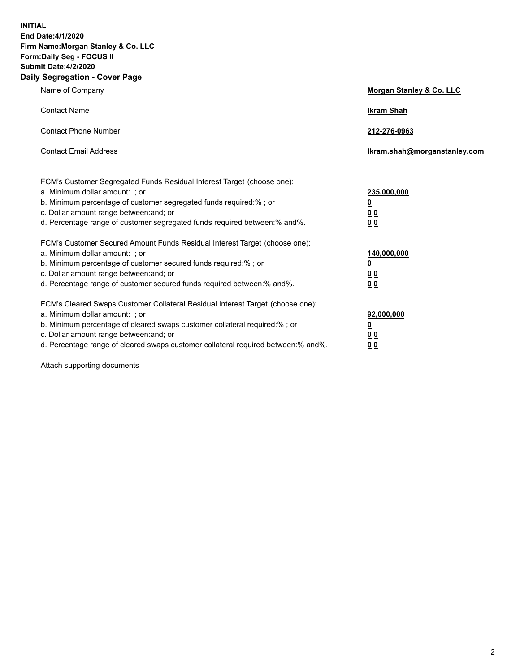**INITIAL End Date:4/1/2020 Firm Name:Morgan Stanley & Co. LLC Form:Daily Seg - FOCUS II Submit Date:4/2/2020 Daily Segregation - Cover Page**

| Name of Company                                                                   | Morgan Stanley & Co. LLC     |
|-----------------------------------------------------------------------------------|------------------------------|
| <b>Contact Name</b>                                                               | <b>Ikram Shah</b>            |
| <b>Contact Phone Number</b>                                                       | 212-276-0963                 |
| <b>Contact Email Address</b>                                                      | Ikram.shah@morganstanley.com |
| FCM's Customer Segregated Funds Residual Interest Target (choose one):            |                              |
| a. Minimum dollar amount: ; or                                                    | 235,000,000                  |
| b. Minimum percentage of customer segregated funds required:%; or                 | <u>0</u>                     |
| c. Dollar amount range between: and; or                                           | <u>00</u>                    |
| d. Percentage range of customer segregated funds required between:% and%.         | 0 Q                          |
| FCM's Customer Secured Amount Funds Residual Interest Target (choose one):        |                              |
| a. Minimum dollar amount: ; or                                                    | 140,000,000                  |
| b. Minimum percentage of customer secured funds required:%; or                    | <u>0</u>                     |
| c. Dollar amount range between: and; or                                           | <u>0 0</u>                   |
| d. Percentage range of customer secured funds required between: % and %.          | 0 Q                          |
| FCM's Cleared Swaps Customer Collateral Residual Interest Target (choose one):    |                              |
| a. Minimum dollar amount: ; or                                                    | 92,000,000                   |
| b. Minimum percentage of cleared swaps customer collateral required:% ; or        | <u>0</u>                     |
| c. Dollar amount range between: and; or                                           | 0 Q                          |
| d. Percentage range of cleared swaps customer collateral required between:% and%. | 0 <sub>0</sub>               |

Attach supporting documents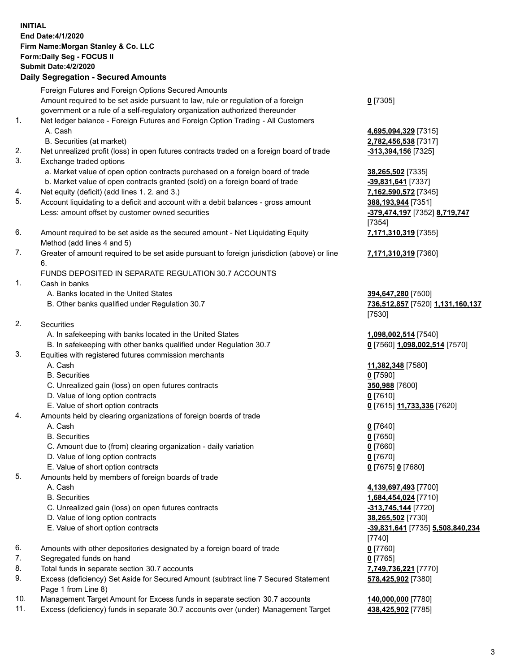| <b>INITIAL</b> | End Date: 4/1/2020<br>Firm Name: Morgan Stanley & Co. LLC<br>Form: Daily Seg - FOCUS II<br><b>Submit Date: 4/2/2020</b><br><b>Daily Segregation - Secured Amounts</b> |                                                        |
|----------------|-----------------------------------------------------------------------------------------------------------------------------------------------------------------------|--------------------------------------------------------|
|                | Foreign Futures and Foreign Options Secured Amounts                                                                                                                   |                                                        |
|                | Amount required to be set aside pursuant to law, rule or regulation of a foreign<br>government or a rule of a self-regulatory organization authorized thereunder      | $Q$ [7305]                                             |
| 1.             | Net ledger balance - Foreign Futures and Foreign Option Trading - All Customers                                                                                       |                                                        |
|                | A. Cash                                                                                                                                                               | 4,695,094,329 [7315]                                   |
|                | B. Securities (at market)                                                                                                                                             | 2,782,456,538 [7317]                                   |
| 2.<br>3.       | Net unrealized profit (loss) in open futures contracts traded on a foreign board of trade<br>Exchange traded options                                                  | <u>-313,394,156</u> [7325]                             |
|                | a. Market value of open option contracts purchased on a foreign board of trade                                                                                        | 38,265,502 [7335]                                      |
|                | b. Market value of open contracts granted (sold) on a foreign board of trade                                                                                          | -39,831,641 [7337]                                     |
| 4.             | Net equity (deficit) (add lines 1. 2. and 3.)                                                                                                                         | 7,162,590,572 [7345]                                   |
| 5.             | Account liquidating to a deficit and account with a debit balances - gross amount                                                                                     | 388,193,944 [7351]                                     |
|                | Less: amount offset by customer owned securities                                                                                                                      | -379,474,197 [7352] 8,719,747                          |
| 6.             | Amount required to be set aside as the secured amount - Net Liquidating Equity                                                                                        | [7354]<br>7,171,310,319 [7355]                         |
|                | Method (add lines 4 and 5)                                                                                                                                            |                                                        |
| 7.             | Greater of amount required to be set aside pursuant to foreign jurisdiction (above) or line                                                                           | 7,171,310,319 [7360]                                   |
|                | 6.                                                                                                                                                                    |                                                        |
|                | FUNDS DEPOSITED IN SEPARATE REGULATION 30.7 ACCOUNTS                                                                                                                  |                                                        |
| 1.             | Cash in banks                                                                                                                                                         |                                                        |
|                | A. Banks located in the United States<br>B. Other banks qualified under Regulation 30.7                                                                               | 394,647,280 [7500]<br>736,512,857 [7520] 1,131,160,137 |
|                |                                                                                                                                                                       | [7530]                                                 |
| 2.             | Securities                                                                                                                                                            |                                                        |
|                | A. In safekeeping with banks located in the United States                                                                                                             | 1,098,002,514 [7540]                                   |
|                | B. In safekeeping with other banks qualified under Regulation 30.7                                                                                                    | 0 [7560] 1,098,002,514 [7570]                          |
| 3.             | Equities with registered futures commission merchants                                                                                                                 |                                                        |
|                | A. Cash                                                                                                                                                               | 11,382,348 [7580]                                      |
|                | <b>B.</b> Securities                                                                                                                                                  | $0$ [7590]                                             |
|                | C. Unrealized gain (loss) on open futures contracts<br>D. Value of long option contracts                                                                              | 350,988 [7600]<br>0[7610]                              |
|                | E. Value of short option contracts                                                                                                                                    | 0 [7615] 11,733,336 [7620]                             |
| 4.             | Amounts held by clearing organizations of foreign boards of trade                                                                                                     |                                                        |
|                | A. Cash                                                                                                                                                               | $0$ [7640]                                             |
|                | <b>B.</b> Securities                                                                                                                                                  | $0$ [7650]                                             |
|                | C. Amount due to (from) clearing organization - daily variation                                                                                                       | $0$ [7660]                                             |
|                | D. Value of long option contracts                                                                                                                                     | $0$ [7670]                                             |
| 5.             | E. Value of short option contracts                                                                                                                                    | 0 [7675] 0 [7680]                                      |
|                | Amounts held by members of foreign boards of trade<br>A. Cash                                                                                                         | 4,139,697,493 [7700]                                   |
|                | <b>B.</b> Securities                                                                                                                                                  | 1,684,454,024 [7710]                                   |
|                | C. Unrealized gain (loss) on open futures contracts                                                                                                                   | <u>-313,745,144</u> [7720]                             |
|                | D. Value of long option contracts                                                                                                                                     | 38,265,502 [7730]                                      |
|                | E. Value of short option contracts                                                                                                                                    | -39,831,641 [7735] 5,508,840,234                       |
|                |                                                                                                                                                                       | [7740]                                                 |
| 6.             | Amounts with other depositories designated by a foreign board of trade                                                                                                | $0$ [7760]                                             |
| 7.             | Segregated funds on hand                                                                                                                                              | $0$ [7765]                                             |
| 8.             | Total funds in separate section 30.7 accounts                                                                                                                         | 7,749,736,221 [7770]                                   |
| 9.             | Excess (deficiency) Set Aside for Secured Amount (subtract line 7 Secured Statement<br>Page 1 from Line 8)                                                            | 578,425,902 [7380]                                     |
| 10.            | Management Target Amount for Excess funds in separate section 30.7 accounts                                                                                           | 140,000,000 [7780]                                     |

11. Excess (deficiency) funds in separate 30.7 accounts over (under) Management Target **438,425,902** [7785]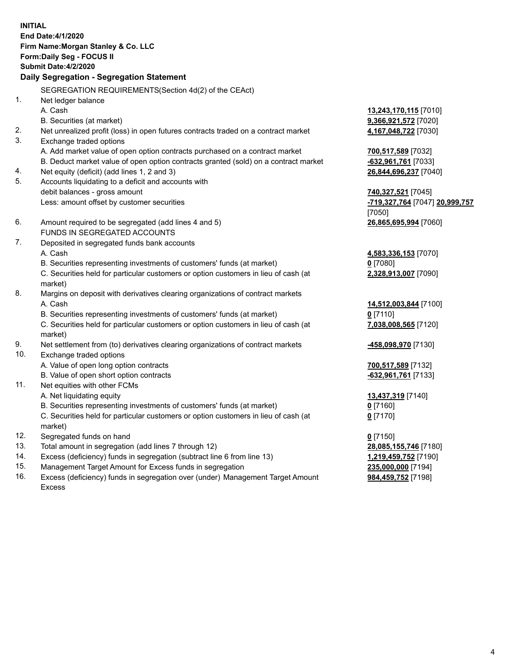**INITIAL End Date:4/1/2020 Firm Name:Morgan Stanley & Co. LLC Form:Daily Seg - FOCUS II Submit Date:4/2/2020 Daily Segregation - Segregation Statement** SEGREGATION REQUIREMENTS(Section 4d(2) of the CEAct) 1. Net ledger balance A. Cash **13,243,170,115** [7010] B. Securities (at market) **9,366,921,572** [7020] 2. Net unrealized profit (loss) in open futures contracts traded on a contract market **4,167,048,722** [7030] 3. Exchange traded options A. Add market value of open option contracts purchased on a contract market **700,517,589** [7032] B. Deduct market value of open option contracts granted (sold) on a contract market **-632,961,761** [7033] 4. Net equity (deficit) (add lines 1, 2 and 3) **26,844,696,237** [7040] 5. Accounts liquidating to a deficit and accounts with debit balances - gross amount **740,327,521** [7045] Less: amount offset by customer securities **-719,327,764** [7047] **20,999,757** [7050] 6. Amount required to be segregated (add lines 4 and 5) **26,865,695,994** [7060] FUNDS IN SEGREGATED ACCOUNTS 7. Deposited in segregated funds bank accounts A. Cash **4,583,336,153** [7070] B. Securities representing investments of customers' funds (at market) **0** [7080] C. Securities held for particular customers or option customers in lieu of cash (at market) **2,328,913,007** [7090] 8. Margins on deposit with derivatives clearing organizations of contract markets A. Cash **14,512,003,844** [7100] B. Securities representing investments of customers' funds (at market) **0** [7110] C. Securities held for particular customers or option customers in lieu of cash (at market) **7,038,008,565** [7120] 9. Net settlement from (to) derivatives clearing organizations of contract markets **-458,098,970** [7130] 10. Exchange traded options A. Value of open long option contracts **700,517,589** [7132] B. Value of open short option contracts **-632,961,761** [7133] 11. Net equities with other FCMs A. Net liquidating equity **13,437,319** [7140] B. Securities representing investments of customers' funds (at market) **0** [7160] C. Securities held for particular customers or option customers in lieu of cash (at market) **0** [7170] 12. Segregated funds on hand **0** [7150] 13. Total amount in segregation (add lines 7 through 12) **28,085,155,746** [7180] 14. Excess (deficiency) funds in segregation (subtract line 6 from line 13) **1,219,459,752** [7190] 15. Management Target Amount for Excess funds in segregation **235,000,000** [7194]

16. Excess (deficiency) funds in segregation over (under) Management Target Amount

**984,459,752** [7198]